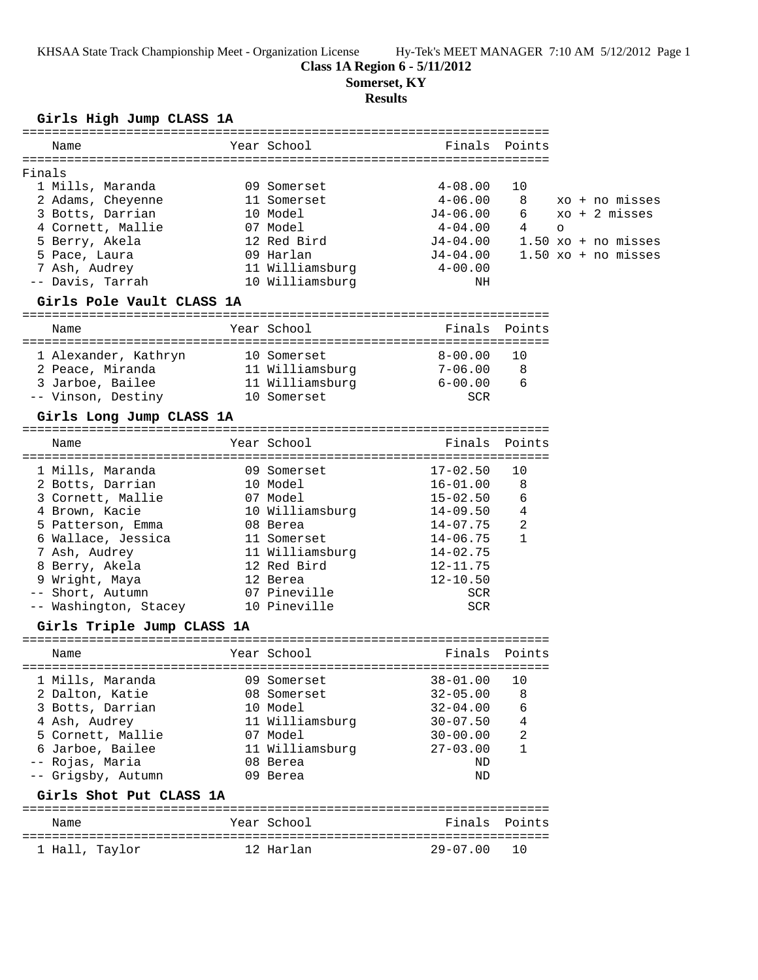KHSAA State Track Championship Meet - Organization License Hy-Tek's MEET MANAGER 7:10 AM 5/12/2012 Page 1

## **Class 1A Region 6 - 5/11/2012**

**Somerset, KY**

#### **Results**

#### **Girls High Jump CLASS 1A**

| Name              | Year School     | Finals Points |    |         |                         |
|-------------------|-----------------|---------------|----|---------|-------------------------|
| Finals            |                 |               |    |         |                         |
| 1 Mills, Maranda  | 09 Somerset     | $4 - 08.00$   | 10 |         |                         |
| 2 Adams, Cheyenne | 11 Somerset     | $4 - 06.00$   | 8  |         | xo + no misses          |
| 3 Botts, Darrian  | 10 Model        | $J4 - 06.00$  | 6  |         | $xo + 2 \text{ misses}$ |
| 4 Cornett, Mallie | 07 Model        | $4 - 04.00$   | 4  | $\circ$ |                         |
| 5 Berry, Akela    | 12 Red Bird     | $J4 - 04.00$  |    |         | $1.50$ xo + no misses   |
| 5 Pace, Laura     | 09 Harlan       | $J4 - 04.00$  |    |         | $1.50$ xo + no misses   |
| 7 Ash, Audrey     | 11 Williamsburg | $4 - 00.00$   |    |         |                         |
| -- Davis, Tarrah  | 10 Williamsburg | ΝH            |    |         |                         |
|                   |                 |               |    |         |                         |

#### **Girls Pole Vault CLASS 1A**

| Name                 |  | Year School     | Finals      | Points |  |  |  |
|----------------------|--|-----------------|-------------|--------|--|--|--|
|                      |  |                 |             |        |  |  |  |
| 1 Alexander, Kathryn |  | 10 Somerset     | $8 - 00.00$ | - 1 O  |  |  |  |
| 2 Peace, Miranda     |  | 11 Williamsburg | $7 - 06.00$ | -8     |  |  |  |
| 3 Jarboe, Bailee     |  | 11 Williamsburg | $6 - 00.00$ | 6      |  |  |  |
| -- Vinson, Destiny   |  | 10 Somerset     | SCR         |        |  |  |  |
|                      |  |                 |             |        |  |  |  |

# **Girls Long Jump CLASS 1A**

| Name                                                                                                                                                                        | Year School                                                                                                                     | Finals Points                                                                                                                                |                                                  |
|-----------------------------------------------------------------------------------------------------------------------------------------------------------------------------|---------------------------------------------------------------------------------------------------------------------------------|----------------------------------------------------------------------------------------------------------------------------------------------|--------------------------------------------------|
| 1 Mills, Maranda<br>2 Botts, Darrian<br>3 Cornett, Mallie<br>4 Brown, Kacie<br>5 Patterson, Emma<br>6 Wallace, Jessica<br>7 Ash, Audrey<br>8 Berry, Akela<br>9 Wright, Maya | 09 Somerset<br>10 Model<br>07 Model<br>10 Williamsburg<br>08 Berea<br>11 Somerset<br>11 Williamsburg<br>12 Red Bird<br>12 Berea | $17 - 02.50$<br>$16 - 01.00$<br>$15 - 02.50$<br>$14 - 09.50$<br>$14 - 07.75$<br>$14 - 06.75$<br>$14 - 02.75$<br>$12 - 11.75$<br>$12 - 10.50$ | 10<br>8<br>6<br>$\overline{4}$<br>$\mathfrak{D}$ |
| -- Short, Autumn<br>-- Washington, Stacey                                                                                                                                   | 07 Pineville<br>10 Pineville                                                                                                    | SCR<br><b>SCR</b>                                                                                                                            |                                                  |
|                                                                                                                                                                             |                                                                                                                                 |                                                                                                                                              |                                                  |

## **Girls Triple Jump CLASS 1A**

| Name |                                                                                                                                                            | Year School                                                                                                      | Finals Points                                                                                            |                                    |
|------|------------------------------------------------------------------------------------------------------------------------------------------------------------|------------------------------------------------------------------------------------------------------------------|----------------------------------------------------------------------------------------------------------|------------------------------------|
|      | 1 Mills, Maranda<br>2 Dalton, Katie<br>3 Botts, Darrian<br>4 Ash, Audrey<br>5 Cornett, Mallie<br>6 Jarboe, Bailee<br>-- Rojas, Maria<br>-- Grigsby, Autumn | 09 Somerset<br>08 Somerset<br>10 Model<br>11 Williamsburg<br>07 Model<br>11 Williamsburg<br>08 Berea<br>09 Berea | $38 - 01.00$<br>$32 - 05.00$<br>$32 - 04.00$<br>$30 - 07.50$<br>$30 - 00.00$<br>$27 - 03.00$<br>ND<br>ND | 8<br>6<br>$\overline{4}$<br>2<br>1 |
|      | Girls Shot Put CLASS 1A                                                                                                                                    |                                                                                                                  |                                                                                                          |                                    |

### ======================================================================= Name The Year School Team Points Points ======================================================================= 1 Hall, Taylor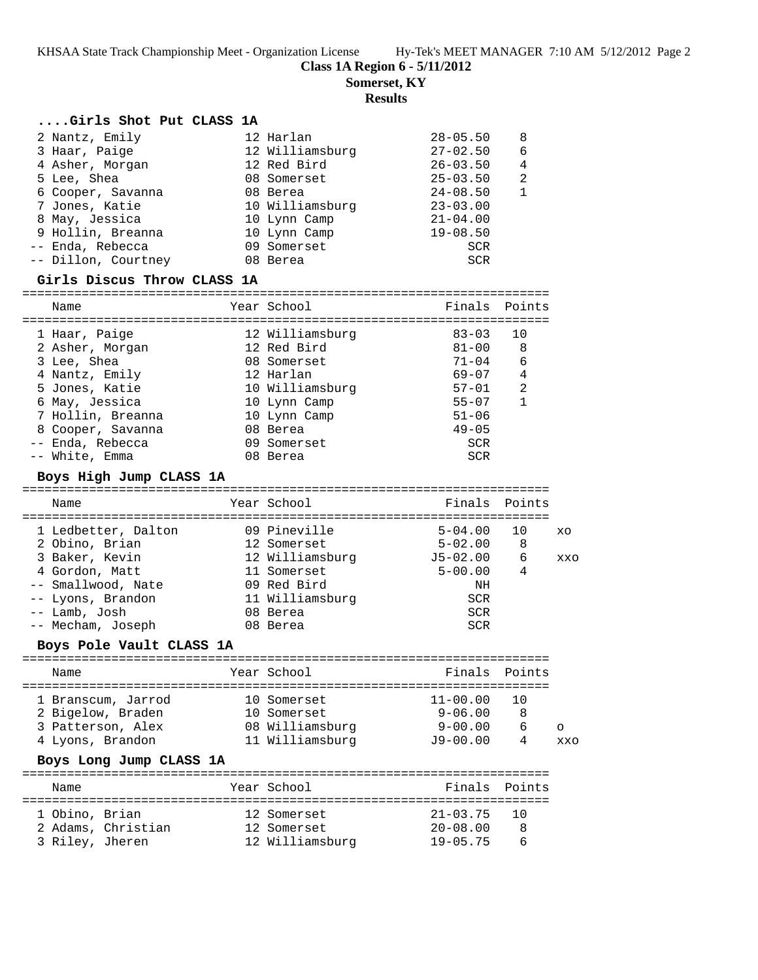KHSAA State Track Championship Meet - Organization License Hy-Tek's MEET MANAGER 7:10 AM 5/12/2012 Page 2

**Class 1A Region 6 - 5/11/2012**

**Somerset, KY**

**Results**

## **....Girls Shot Put CLASS 1A**

| 2 Nantz, Emily      |  | $28 - 05.50$                                                                                                                                         | 8 |
|---------------------|--|------------------------------------------------------------------------------------------------------------------------------------------------------|---|
| 3 Haar, Paige       |  | $27 - 02.50$                                                                                                                                         | 6 |
| 4 Asher, Morgan     |  | $26 - 03.50$                                                                                                                                         | 4 |
| 5 Lee, Shea         |  | $25 - 03.50$                                                                                                                                         | 2 |
| 6 Cooper, Savanna   |  | $24 - 08.50$                                                                                                                                         |   |
| 7 Jones, Katie      |  | $23 - 03.00$                                                                                                                                         |   |
| 8 May, Jessica      |  | $21 - 04.00$                                                                                                                                         |   |
| 9 Hollin, Breanna   |  | $19 - 08.50$                                                                                                                                         |   |
| -- Enda, Rebecca    |  | SCR                                                                                                                                                  |   |
| -- Dillon, Courtney |  | SCR                                                                                                                                                  |   |
|                     |  | 12 Harlan<br>12 Williamsburg<br>12 Red Bird<br>08 Somerset<br>08 Berea<br>10 Williamsburg<br>10 Lynn Camp<br>10 Lynn Camp<br>09 Somerset<br>08 Berea |   |

# **Girls Discus Throw CLASS 1A**

| Name              | Year School     | Finals Points |    |
|-------------------|-----------------|---------------|----|
| 1 Haar, Paige     | 12 Williamsburg | $83 - 03$     | 10 |
| 2 Asher, Morgan   | 12 Red Bird     | $81 - 00$     | 8  |
| 3 Lee, Shea       | 08 Somerset     | $71 - 04$     | 6  |
| 4 Nantz, Emily    | 12 Harlan       | $69 - 07$     | 4  |
| 5 Jones, Katie    | 10 Williamsburg | 57-01         | 2  |
| 6 May, Jessica    | 10 Lynn Camp    | $55 - 07$     | 1  |
| 7 Hollin, Breanna | 10 Lynn Camp    | $51 - 06$     |    |
| 8 Cooper, Savanna | 08 Berea        | $49 - 05$     |    |
| Enda, Rebecca     | 09 Somerset     | <b>SCR</b>    |    |
| White, Emma       | 08 Berea        | SCR           |    |

## **Boys High Jump CLASS 1A**

| Name                | Year School     | Finals Points |    |     |
|---------------------|-----------------|---------------|----|-----|
| 1 Ledbetter, Dalton | 09 Pineville    | $5 - 04.00$   | 10 | XO  |
| 2 Obino, Brian      | 12 Somerset     | $5 - 02.00$   | 8  |     |
| 3 Baker, Kevin      | 12 Williamsburg | $J5-02.00$    | 6  | XXO |
| 4 Gordon, Matt      | 11 Somerset     | $5 - 00.00$   | 4  |     |
| -- Smallwood, Nate  | 09 Red Bird     | ΝH            |    |     |
| -- Lyons, Brandon   | 11 Williamsburg | SCR           |    |     |
| -- Lamb, Josh       | 08 Berea        | SCR           |    |     |
| -- Mecham, Joseph   | 08 Berea        | SCR           |    |     |

# **Boys Pole Vault CLASS 1A**

| Name               |  | Year School     |              | Finals Points |         |  |  |  |
|--------------------|--|-----------------|--------------|---------------|---------|--|--|--|
| 1 Branscum, Jarrod |  | 10 Somerset     | $11 - 00.00$ |               |         |  |  |  |
| 2 Bigelow, Braden  |  | 10 Somerset     | $9 - 06.00$  | -8            |         |  |  |  |
| 3 Patterson, Alex  |  | 08 Williamsburg | $9 - 00.00$  | 6             | $\circ$ |  |  |  |
| 4 Lyons, Brandon   |  | 11 Williamsburg | $J9 - 00.00$ | 4             | xx∩     |  |  |  |

#### **Boys Long Jump CLASS 1A**

| Name                              |                    | Year School                                   |                                                 | Finals Points |
|-----------------------------------|--------------------|-----------------------------------------------|-------------------------------------------------|---------------|
| 1 Obino, Brian<br>3 Riley, Jheren | 2 Adams, Christian | 12 Somerset<br>12 Somerset<br>12 Williamsburg | $21 - 03.75$ 10<br>$20 - 08.00$<br>$19 - 05.75$ |               |